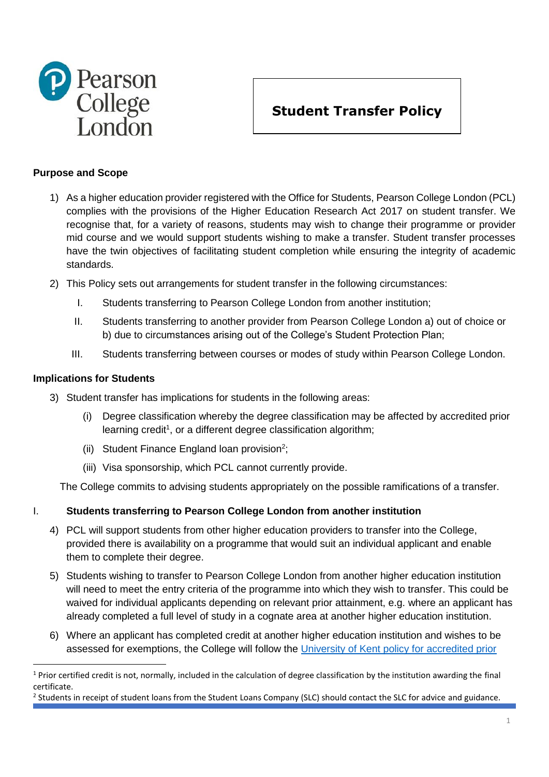

# **Student Transfer Policy**

## **Purpose and Scope**

- 1) As a higher education provider registered with the Office for Students, Pearson College London (PCL) complies with the provisions of the Higher Education Research Act 2017 on student transfer. We recognise that, for a variety of reasons, students may wish to change their programme or provider mid course and we would support students wishing to make a transfer. Student transfer processes have the twin objectives of facilitating student completion while ensuring the integrity of academic standards.
- 2) This Policy sets out arrangements for student transfer in the following circumstances:
	- I. Students transferring to Pearson College London from another institution;
	- II. Students transferring to another provider from Pearson College London a) out of choice or b) due to circumstances arising out of the College's Student Protection Plan;
	- III. Students transferring between courses or modes of study within Pearson College London.

### **Implications for Students**

**.** 

- 3) Student transfer has implications for students in the following areas:
	- (i) Degree classification whereby the degree classification may be affected by accredited prior learning credit<sup>1</sup>, or a different degree classification algorithm;
	- (ii) Student Finance England loan provision<sup>2</sup>;
	- (iii) Visa sponsorship, which PCL cannot currently provide.

The College commits to advising students appropriately on the possible ramifications of a transfer.

## I. **Students transferring to Pearson College London from another institution**

- 4) PCL will support students from other higher education providers to transfer into the College, provided there is availability on a programme that would suit an individual applicant and enable them to complete their degree.
- 5) Students wishing to transfer to Pearson College London from another higher education institution will need to meet the entry criteria of the programme into which they wish to transfer. This could be waived for individual applicants depending on relevant prior attainment, e.g. where an applicant has already completed a full level of study in a cognate area at another higher education institution.
- 6) Where an applicant has completed credit at another higher education institution and wishes to be assessed for exemptions, the College will follow the [University of Kent policy for accredited prior](https://www.kent.ac.uk/teaching/documents/quality-assurance/codes/taught/pdf/annexr-apl-guidance-for-applicants-students.pdf)

 $1$  Prior certified credit is not, normally, included in the calculation of degree classification by the institution awarding the final certificate.

<sup>&</sup>lt;sup>2</sup> Students in receipt of student loans from the Student Loans Company (SLC) should contact the SLC for advice and guidance.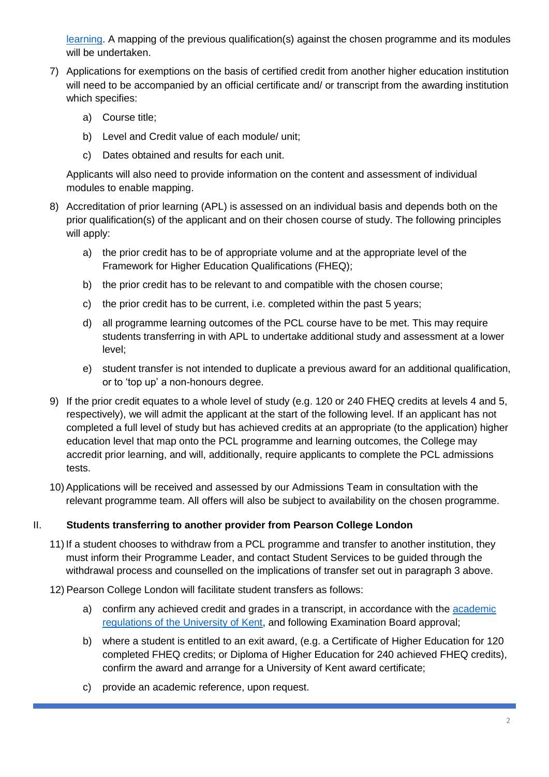[learning.](https://www.kent.ac.uk/teaching/documents/quality-assurance/codes/taught/pdf/annexr-apl-guidance-for-applicants-students.pdf) A mapping of the previous qualification(s) against the chosen programme and its modules will be undertaken.

- 7) Applications for exemptions on the basis of certified credit from another higher education institution will need to be accompanied by an official certificate and/ or transcript from the awarding institution which specifies:
	- a) Course title;
	- b) Level and Credit value of each module/ unit;
	- c) Dates obtained and results for each unit.

Applicants will also need to provide information on the content and assessment of individual modules to enable mapping.

- 8) Accreditation of prior learning (APL) is assessed on an individual basis and depends both on the prior qualification(s) of the applicant and on their chosen course of study. The following principles will apply:
	- a) the prior credit has to be of appropriate volume and at the appropriate level of the Framework for Higher Education Qualifications (FHEQ);
	- b) the prior credit has to be relevant to and compatible with the chosen course;
	- c) the prior credit has to be current, i.e. completed within the past 5 years;
	- d) all programme learning outcomes of the PCL course have to be met. This may require students transferring in with APL to undertake additional study and assessment at a lower level;
	- e) student transfer is not intended to duplicate a previous award for an additional qualification, or to 'top up' a non-honours degree.
- 9) If the prior credit equates to a whole level of study (e.g. 120 or 240 FHEQ credits at levels 4 and 5, respectively), we will admit the applicant at the start of the following level. If an applicant has not completed a full level of study but has achieved credits at an appropriate (to the application) higher education level that map onto the PCL programme and learning outcomes, the College may accredit prior learning, and will, additionally, require applicants to complete the PCL admissions tests.
- 10) Applications will be received and assessed by our Admissions Team in consultation with the relevant programme team. All offers will also be subject to availability on the chosen programme.

# II. **Students transferring to another provider from Pearson College London**

- 11) If a student chooses to withdraw from a PCL programme and transfer to another institution, they must inform their Programme Leader, and contact Student Services to be guided through the withdrawal process and counselled on the implications of transfer set out in paragraph 3 above.
- 12) Pearson College London will facilitate student transfers as follows:
	- a) confirm any achieved credit and grades in a transcript, in accordance with the [academic](https://www.kent.ac.uk/teaching/qa/regulations/index.html)  [regulations of the University of Kent,](https://www.kent.ac.uk/teaching/qa/regulations/index.html) and following Examination Board approval;
	- b) where a student is entitled to an exit award, (e.g. a Certificate of Higher Education for 120 completed FHEQ credits; or Diploma of Higher Education for 240 achieved FHEQ credits), confirm the award and arrange for a University of Kent award certificate;
	- c) provide an academic reference, upon request.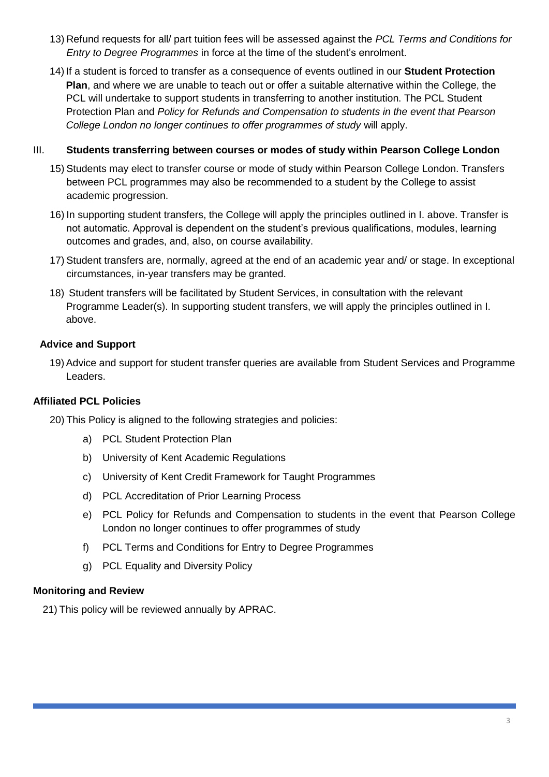- 13) Refund requests for all/ part tuition fees will be assessed against the *PCL Terms and Conditions for Entry to Degree Programmes* in force at the time of the student's enrolment.
- 14) If a student is forced to transfer as a consequence of events outlined in our **Student Protection Plan**, and where we are unable to teach out or offer a suitable alternative within the College, the PCL will undertake to support students in transferring to another institution. The PCL Student Protection Plan and *Policy for Refunds and Compensation to students in the event that Pearson College London no longer continues to offer programmes of study* will apply.

#### III. **Students transferring between courses or modes of study within Pearson College London**

- 15) Students may elect to transfer course or mode of study within Pearson College London. Transfers between PCL programmes may also be recommended to a student by the College to assist academic progression.
- 16) In supporting student transfers, the College will apply the principles outlined in I. above. Transfer is not automatic. Approval is dependent on the student's previous qualifications, modules, learning outcomes and grades, and, also, on course availability.
- 17) Student transfers are, normally, agreed at the end of an academic year and/ or stage. In exceptional circumstances, in-year transfers may be granted.
- 18) Student transfers will be facilitated by Student Services, in consultation with the relevant Programme Leader(s). In supporting student transfers, we will apply the principles outlined in I. above.

## **Advice and Support**

19) Advice and support for student transfer queries are available from Student Services and Programme Leaders.

## **Affiliated PCL Policies**

20) This Policy is aligned to the following strategies and policies:

- a) PCL Student Protection Plan
- b) University of Kent Academic Regulations
- c) University of Kent Credit Framework for Taught Programmes
- d) PCL Accreditation of Prior Learning Process
- e) PCL Policy for Refunds and Compensation to students in the event that Pearson College London no longer continues to offer programmes of study
- f) PCL Terms and Conditions for Entry to Degree Programmes
- g) PCL Equality and Diversity Policy

## **Monitoring and Review**

21) This policy will be reviewed annually by APRAC.